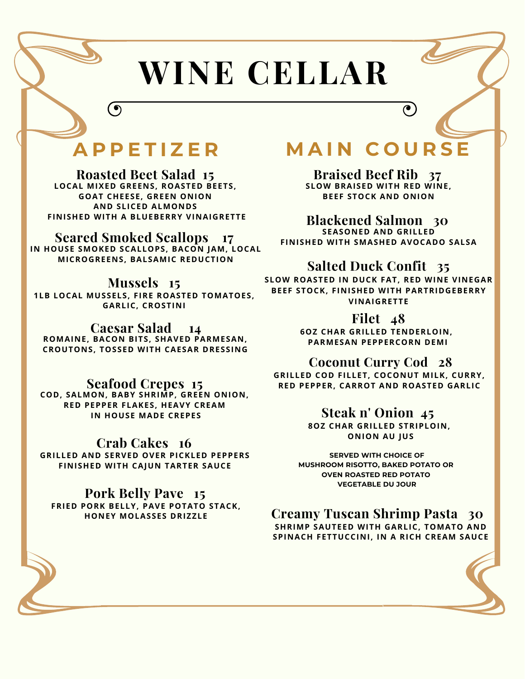# **WINE CELLAR**

# **A P P E T I Z E R**

 $\left( \bullet \right)$ 

**Roasted Beet Salad 15 LOCAL MIXED GREENS, ROASTED BEETS, GOAT CHEESE, GREEN ONION AND SLICED ALMONDS FINISHED WITH A BLUEBERRY VINAIGRETTE**

# **Seared Smoked Scallops 17**

**IN HOUSE SMOKED SCALLOPS, BACON JAM, LOCAL MICROGREENS, BALSAMIC REDUCTION**

# **Mussels 15**

**1LB LOCAL MUSSELS, FIRE ROASTED TOMATOES, GARLIC, CROSTINI**

# **Caesar Salad 14**

**ROMAINE, BACON BITS, SHAVED PARMESAN, CROUTONS, TOSSED WITH CAESAR DRESSING**

# **Seafood Crepes 15**

**COD, SALMON, BABY SHRIMP, GREEN ONION, RED PEPPER FLAKES, HEAVY CREAM IN HOUSE MADE CREPES**

# **Crab Cakes 16**

**GRILLED AND SERVED OVER PICKLED PEPPERS FINISHED WITH CAJUN TARTER SAUCE**

# **Pork Belly Pave 15**

**FRIED PORK BELLY, PAVE POTATO STACK, HONEY MOLASSES DRIZZLE**

# **M A I N C O U R S E**

 $\bullet$ 

**Braised Beef Rib 37 SLOW BRAISED WITH RED WINE, BEEF STOCK AND ONION**

**Blackened Salmon 30 SEASONED AND GRILLED FINISHED WITH SMASHED AVOCADO SALSA**

# **Salted Duck Confit 35**

**SLOW ROASTED IN DUCK FAT, RED WINE VINEGAR BEEF STOCK, FINISHED WITH PARTRIDGEBERRY VINAIGRETTE**

# **Filet 48**

**6OZ CHAR GRILLED TENDERLOIN, PARMESAN PEPPERCORN DEMI**

# **Coconut Curry Cod 28**

**GRILLED COD FILLET, COCONUT MILK, CURRY, RED PEPPER, CARROT AND ROASTED GARLIC**

# **Steak n' Onion 45**

**8OZ CHAR GRILLED STRIPLOIN, ONION AU JUS**

**SERVED WITH CHOICE OF MUSHROOM RISOTTO, BAKED POTATO OR OVEN ROASTED RED POTATO VEGETABLE DU JOUR**

# **Creamy Tuscan Shrimp Pasta 30 SHRIMP SAUTEED WITH GARLIC, TOMATO AND SPINACH FETTUCCINI, IN A RICH CREAM SAUCE**